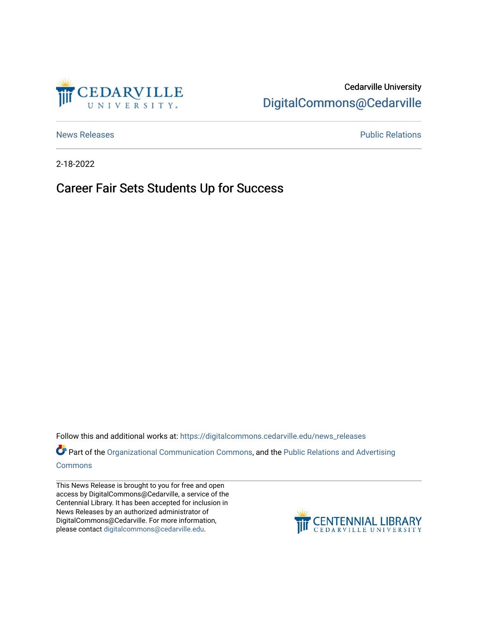

## Cedarville University [DigitalCommons@Cedarville](https://digitalcommons.cedarville.edu/)

[News Releases](https://digitalcommons.cedarville.edu/news_releases) **Public Relations Public Relations** 

2-18-2022

Career Fair Sets Students Up for Success

Follow this and additional works at: [https://digitalcommons.cedarville.edu/news\\_releases](https://digitalcommons.cedarville.edu/news_releases?utm_source=digitalcommons.cedarville.edu%2Fnews_releases%2F1501&utm_medium=PDF&utm_campaign=PDFCoverPages) 

Part of the [Organizational Communication Commons](http://network.bepress.com/hgg/discipline/335?utm_source=digitalcommons.cedarville.edu%2Fnews_releases%2F1501&utm_medium=PDF&utm_campaign=PDFCoverPages), and the Public Relations and Advertising [Commons](http://network.bepress.com/hgg/discipline/336?utm_source=digitalcommons.cedarville.edu%2Fnews_releases%2F1501&utm_medium=PDF&utm_campaign=PDFCoverPages)

This News Release is brought to you for free and open access by DigitalCommons@Cedarville, a service of the Centennial Library. It has been accepted for inclusion in News Releases by an authorized administrator of DigitalCommons@Cedarville. For more information, please contact [digitalcommons@cedarville.edu](mailto:digitalcommons@cedarville.edu).

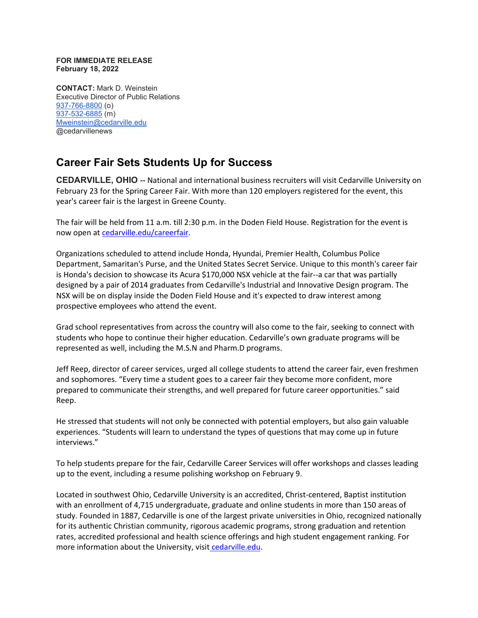## **FOR IMMEDIATE RELEASE February 18, 2022**

**CONTACT:** Mark D. Weinstein Executive Director of Public Relations [937-766-8800](tel:937-766-8800) (o) [937-532-6885](tel:937-532-6885) (m) [Mweinstein@cedarville.edu](mailto:Mweinstein@cedarville.edu) @cedarvillenews

## **Career Fair Sets Students Up for Success**

**CEDARVILLE, OHIO --** National and international business recruiters will visit Cedarville University on February 23 for the Spring Career Fair. With more than 120 employers registered for the event, this year's career fair is the largest in Greene County.

The fair will be held from 11 a.m. till 2:30 p.m. in the Doden Field House. Registration for the event is now open at [cedarville.edu/careerfair.](http://cedarville.edu/careerfair)

Organizations scheduled to attend include Honda, Hyundai, Premier Health, Columbus Police Department, Samaritan's Purse, and the United States Secret Service. Unique to this month's career fair is Honda's decision to showcase its Acura \$170,000 NSX vehicle at the fair--a car that was partially designed by a pair of 2014 graduates from Cedarville's Industrial and Innovative Design program. The NSX will be on display inside the Doden Field House and it's expected to draw interest among prospective employees who attend the event.

Grad school representatives from across the country will also come to the fair, seeking to connect with students who hope to continue their higher education. Cedarville's own graduate programs will be represented as well, including the M.S.N and Pharm.D programs.

Jeff Reep, director of career services, urged all college students to attend the career fair, even freshmen and sophomores. "Every time a student goes to a career fair they become more confident, more prepared to communicate their strengths, and well prepared for future career opportunities." said Reep.

He stressed that students will not only be connected with potential employers, but also gain valuable experiences. "Students will learn to understand the types of questions that may come up in future interviews."

To help students prepare for the fair, Cedarville Career Services will offer workshops and classes leading up to the event, including a resume polishing workshop on February 9.

Located in southwest Ohio, Cedarville University is an accredited, Christ-centered, Baptist institution with an enrollment of 4,715 undergraduate, graduate and online students in more than 150 areas of study. Founded in 1887, Cedarville is one of the largest private universities in Ohio, recognized nationally for its authentic Christian community, rigorous academic programs, strong graduation and retention rates, accredited professional and health science offerings and high student engagement ranking. For more information about the University, visi[t](https://www.cedarville.edu/) [cedarville.edu.](https://www.cedarville.edu/)